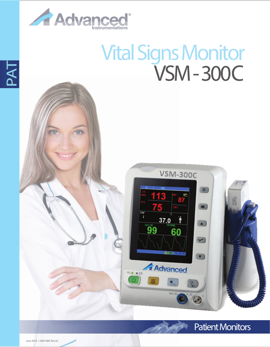

## **Vital Signs Monitor VSM- 300C**

**VSM-300C** 

 $37.0$ 

**Advanced** 

60

 $99$ 

≂• • ∈

图

 $\blacksquare$ 

 $\sqrt{2}$ 

 $\blacktriangledown$ 

 $\blacktriangledown$ 

 $\odot$ 



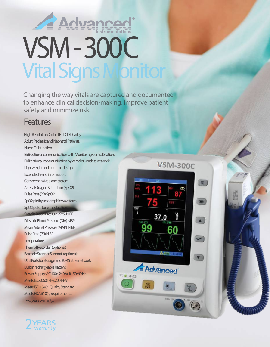# Advanced VSM- 300C **Vital Signs Monitor**

*Changing the way vitals are captured and documented to enhance clinical decision-making, improve patient safety and minimize risk.*

### **Features**

High Resolution Color TFT LCD Display. Adult, Pediatric and Neonatal Patients. Nurse Call function. Bidirectional communication with Monitoring Central Station. Bidirectional communication by wired or wireless network. Lightweight and portable design Extended trendinformation. Comprehensive alarm system Arterial Oxygen Saturation (SpO2) Pulse Rate (PR) SpO2 SpO2 plethysmographic waveform. SpO<sub>2</sub> pulse tone modulation Systolic Blood Pressure (SYS) NIBP Diastolic Blood Pressure (DIA) NIBP Mean Arterial Pressure (MAP) NIBP Pulse Rate (PR) NIBP Temperature. Thermal Recorder. (optional) Barcode Scanner Support. (optional) USB Ports for storage and RJ-45 Ethernet port. Built in rechargeable battery. Power Supply: AC 100~240 Volts 50/60 Hz. Meets IEC60601-1-2:2001+A1 Meets ISO 13485 Quality Standard Meets FDA 510(k) requirements. Two years warranty.



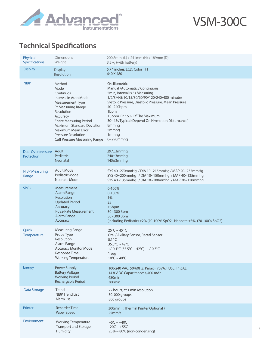

VSM-300C

### **Technical Specifications**

| Physical<br>Specifications             | <b>Dimensions</b><br>Weight                                                                                                                                                                                                                                                                 | 200.8mm (L) x 241mm (H) x 189mm (D)<br>3.5kg (with battery)                                                                                                                                                                                                                                                                                            |
|----------------------------------------|---------------------------------------------------------------------------------------------------------------------------------------------------------------------------------------------------------------------------------------------------------------------------------------------|--------------------------------------------------------------------------------------------------------------------------------------------------------------------------------------------------------------------------------------------------------------------------------------------------------------------------------------------------------|
| <b>Display</b>                         | <b>Display</b><br>Resolution                                                                                                                                                                                                                                                                | 5.7 " inches, LCD, Color TFT<br>640 X 480                                                                                                                                                                                                                                                                                                              |
| <b>NIBP</b>                            | Method<br>Mode<br>Continuos<br>Interval In Auto Mode<br>Measurement Type<br>Pr Measuring Range<br>Resolution<br>Accuracy<br><b>Entire Measuring Period</b><br><b>Maximum Standard Deviation</b><br>Maximum Mean Error<br><b>Pressure Resolution</b><br><b>Cuff Pressure Measuring Range</b> | Oscillometric<br>Manual /Automatic / Continuous<br>5min, interval is 5s Measuring<br>1/2/3/4/5/10/15/30/60/90/120/240/480 minutes<br>Systolic Pressure, Diastolic Pressure, Mean Pressure<br>40~240bpm<br>1 <sub>bpm</sub><br>±3bpm Or 3.5% Of The Maximum<br>30~45s Typical (Depend On Hr/motion Disturbance)<br>8mmhq<br>5mmhg<br>1mmhg<br>0~290mmhg |
| <b>Dual Overpressure</b><br>Protection | Adult<br>Pediatric<br><b>Neonatal</b>                                                                                                                                                                                                                                                       | 297±3mmhg<br>240±3mmhg<br>145±3mmhg                                                                                                                                                                                                                                                                                                                    |
| <b>NIBP Measuring</b><br>Range         | <b>Adult Mode</b><br>Pediatric Mode<br>Neonate Mode                                                                                                                                                                                                                                         | SYS 40~270mmHg / DIA 10~215mmHg / MAP 20~235mmHg<br>SYS 40~200mmhg / DIA 10~150mmhg / MAP 40~135mmhg<br>SYS 40~135mmhg / DIA 10~100mmhg / MAP 20~110mmhg                                                                                                                                                                                               |
| SPO <sub>2</sub>                       | Measurement<br><b>Alarm Range</b><br>Resolution<br><b>Updated Period</b><br>Accuracy<br><b>Pulse Rate Measurement</b><br><b>Alarm Range</b><br>Accuracy                                                                                                                                     | $0 - 100%$<br>$0 - 100%$<br>$1\%$<br>2s<br>±3bpm<br>30 - 300 Bpm<br>30 - 300 Bpm<br>(including Pediatric) $\pm 2\%$ (70-100% SpO2) Neonate $\pm 3\%$ (70-100% SpO2)                                                                                                                                                                                    |
| Quick<br>Temperature                   | <b>Measuring Range</b><br>Probe Type<br><b>Resolution</b><br>Alarm Range<br><b>Accuracy Monitor Mode</b><br>Response Time<br><b>Working Temperature</b>                                                                                                                                     | $25^{\circ}$ C ~ 45° C<br>Oral / Axiliary Sensor, Rectal Sensor<br>$0.1^{\circ}$ C<br>$35.5^{\circ}$ C ~ 42°C<br>+/-0.1°C (35.5°C ~ 42°C) - +/-0.3°C<br>1 seg<br>$10^{\circ}$ C ~ 40 $^{\circ}$ C                                                                                                                                                      |
| Energy                                 | Power Supply<br><b>Battery Voltage</b><br><b>Working Period</b><br>Rechargable Period                                                                                                                                                                                                       | 100-240 VAC, 50/60HZ; Pmax= 70VA; FUSE T 1.6AL<br>14.8 V DC Capacitance: 4,400 mAh<br>480 <sub>min</sub><br>300min                                                                                                                                                                                                                                     |
| Data Storage                           | Trend<br>NIBP Trend List<br>Alarm list                                                                                                                                                                                                                                                      | 72 hours, at 1 min resolution<br>30,000 groups<br>800 groups                                                                                                                                                                                                                                                                                           |
| Printer                                | <b>Recorder Time</b><br>Paper Speed                                                                                                                                                                                                                                                         | 300min (Thermal Printer Optional)<br>25mm/s                                                                                                                                                                                                                                                                                                            |
| Environment                            | <b>Working Temperature</b><br><b>Transport and Storage</b><br>Humidity                                                                                                                                                                                                                      | $+5C \sim +40C$<br>$-20C \sim +55C$<br>$25\% \sim 80\%$ (non-condensing)                                                                                                                                                                                                                                                                               |